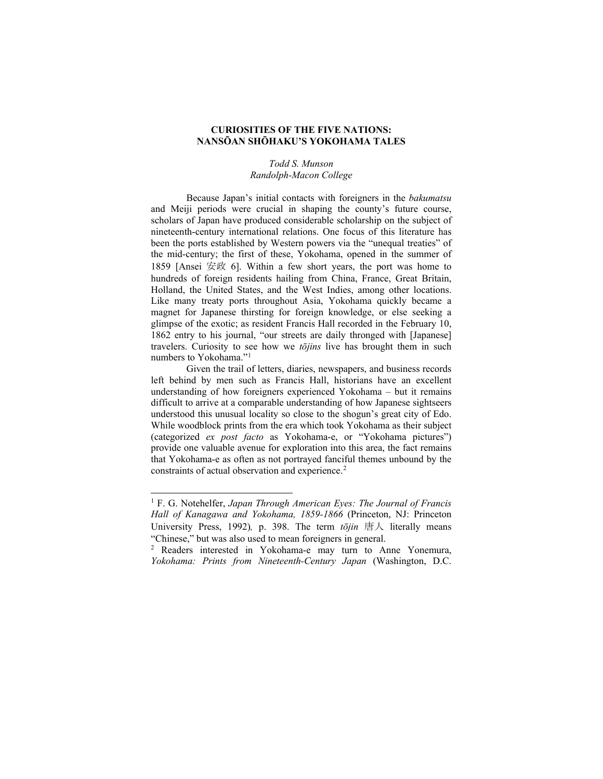# **CURIOSITIES OF THE FIVE NATIONS: NANSŌAN SHŌHAKU'S YOKOHAMA TALES**

## *Todd S. Munson Randolph-Macon College*

Because Japan's initial contacts with foreigners in the *bakumatsu* and Meiji periods were crucial in shaping the county's future course, scholars of Japan have produced considerable scholarship on the subject of nineteenth-century international relations. One focus of this literature has been the ports established by Western powers via the "unequal treaties" of the mid-century; the first of these, Yokohama, opened in the summer of 1859 [Ansei 安政 6]. Within a few short years, the port was home to hundreds of foreign residents hailing from China, France, Great Britain, Holland, the United States, and the West Indies, among other locations. Like many treaty ports throughout Asia, Yokohama quickly became a magnet for Japanese thirsting for foreign knowledge, or else seeking a glimpse of the exotic; as resident Francis Hall recorded in the February 10, 1862 entry to his journal, "our streets are daily thronged with [Japanese] travelers. Curiosity to see how we *tōjins* live has brought them in such numbers to Yokohama."[1](#page-0-0)

Given the trail of letters, diaries, newspapers, and business records left behind by men such as Francis Hall, historians have an excellent understanding of how foreigners experienced Yokohama – but it remains difficult to arrive at a comparable understanding of how Japanese sightseers understood this unusual locality so close to the shogun's great city of Edo. While woodblock prints from the era which took Yokohama as their subject (categorized *ex post facto* as Yokohama-e, or "Yokohama pictures") provide one valuable avenue for exploration into this area, the fact remains that Yokohama-e as often as not portrayed fanciful themes unbound by the constraints of actual observation and experience.<sup>[2](#page-0-1)</sup>

<span id="page-0-0"></span><sup>1</sup> F. G. Notehelfer, *Japan Through American Eyes: The Journal of Francis Hall of Kanagawa and Yokohama, 1859-1866* (Princeton, NJ: Princeton University Press, 1992)*,* p. 398. The term *tōjin* 唐人 literally means "Chinese," but was also used to mean foreigners in general.

<span id="page-0-1"></span><sup>2</sup> Readers interested in Yokohama-e may turn to Anne Yonemura, *Yokohama: Prints from Nineteenth-Century Japan* (Washington, D.C.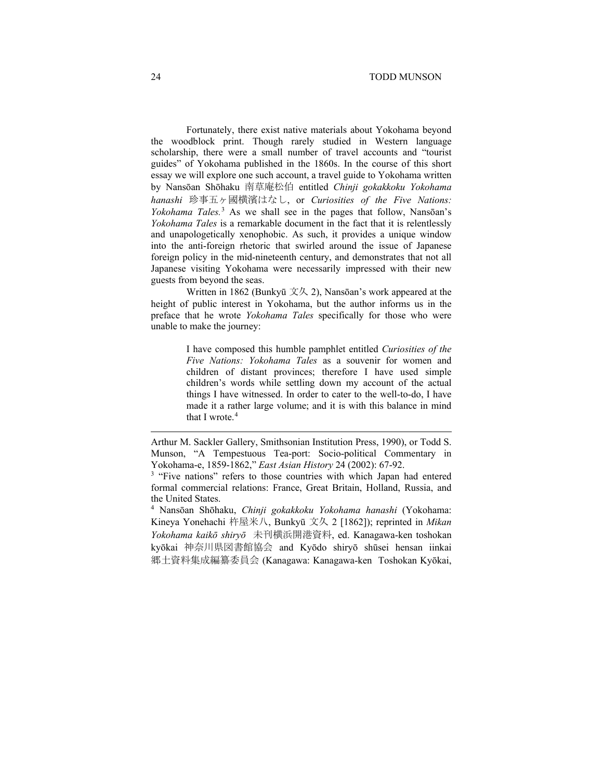### 24 TODD MUNSON

Fortunately, there exist native materials about Yokohama beyond the woodblock print. Though rarely studied in Western language scholarship, there were a small number of travel accounts and "tourist guides" of Yokohama published in the 1860s. In the course of this short essay we will explore one such account, a travel guide to Yokohama written by Nansōan Shōhaku 南草庵松伯 entitled *Chinji gokakkoku Yokohama hanashi* 珍事五ヶ國横濱はなし, or *Curiosities of the Five Nations: Yokohama Tales.*[3](#page-1-0) As we shall see in the pages that follow, Nansōan's *Yokohama Tales* is a remarkable document in the fact that it is relentlessly and unapologetically xenophobic. As such, it provides a unique window into the anti-foreign rhetoric that swirled around the issue of Japanese foreign policy in the mid-nineteenth century, and demonstrates that not all Japanese visiting Yokohama were necessarily impressed with their new guests from beyond the seas.

Written in 1862 (Bunkyū 文久 2), Nansōan's work appeared at the height of public interest in Yokohama, but the author informs us in the preface that he wrote *Yokohama Tales* specifically for those who were unable to make the journey:

> I have composed this humble pamphlet entitled *Curiosities of the Five Nations: Yokohama Tales* as a souvenir for women and children of distant provinces; therefore I have used simple children's words while settling down my account of the actual things I have witnessed. In order to cater to the well-to-do, I have made it a rather large volume; and it is with this balance in mind that I wrote.<sup>[4](#page-1-1)</sup>

<span id="page-1-1"></span><sup>4</sup> Nansōan Shōhaku, *Chinji gokakkoku Yokohama hanashi* (Yokohama: Kineya Yonehachi 杵屋米八, Bunkyū 文久 2 [1862]); reprinted in *Mikan Yokohama kaikō shiryō* 未刊横浜開港資料, ed. Kanagawa-ken toshokan kyōkai 神奈川県図書館協会 and Kyōdo shiryō shūsei hensan iinkai 郷土資料集成編纂委員会 (Kanagawa: Kanagawa-ken Toshokan Kyōkai,

Arthur M. Sackler Gallery, Smithsonian Institution Press, 1990), or Todd S. Munson, "A Tempestuous Tea-port: Socio-political Commentary in Yokohama-e, 1859-1862," *East Asian History* 24 (2002): 67-92.

<span id="page-1-0"></span><sup>&</sup>lt;sup>3</sup> "Five nations" refers to those countries with which Japan had entered formal commercial relations: France, Great Britain, Holland, Russia, and the United States.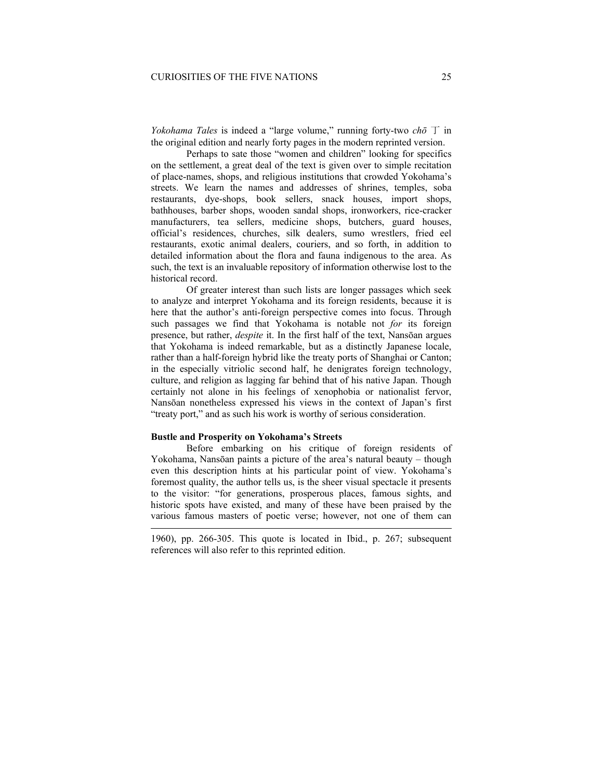*Yokohama Tales* is indeed a "large volume," running forty-two *chō* 丁 in the original edition and nearly forty pages in the modern reprinted version.

Perhaps to sate those "women and children" looking for specifics on the settlement, a great deal of the text is given over to simple recitation of place-names, shops, and religious institutions that crowded Yokohama's streets. We learn the names and addresses of shrines, temples, soba restaurants, dye-shops, book sellers, snack houses, import shops, bathhouses, barber shops, wooden sandal shops, ironworkers, rice-cracker manufacturers, tea sellers, medicine shops, butchers, guard houses, official's residences, churches, silk dealers, sumo wrestlers, fried eel restaurants, exotic animal dealers, couriers, and so forth, in addition to detailed information about the flora and fauna indigenous to the area. As such, the text is an invaluable repository of information otherwise lost to the historical record.

Of greater interest than such lists are longer passages which seek to analyze and interpret Yokohama and its foreign residents, because it is here that the author's anti-foreign perspective comes into focus. Through such passages we find that Yokohama is notable not *for* its foreign presence, but rather, *despite* it. In the first half of the text, Nansōan argues that Yokohama is indeed remarkable, but as a distinctly Japanese locale, rather than a half-foreign hybrid like the treaty ports of Shanghai or Canton; in the especially vitriolic second half, he denigrates foreign technology, culture, and religion as lagging far behind that of his native Japan. Though certainly not alone in his feelings of xenophobia or nationalist fervor, Nansōan nonetheless expressed his views in the context of Japan's first "treaty port," and as such his work is worthy of serious consideration.

## **Bustle and Prosperity on Yokohama's Streets**

Before embarking on his critique of foreign residents of Yokohama, Nansōan paints a picture of the area's natural beauty – though even this description hints at his particular point of view. Yokohama's foremost quality, the author tells us, is the sheer visual spectacle it presents to the visitor: "for generations, prosperous places, famous sights, and historic spots have existed, and many of these have been praised by the various famous masters of poetic verse; however, not one of them can

1960), pp. 266-305. This quote is located in Ibid., p. 267; subsequent references will also refer to this reprinted edition.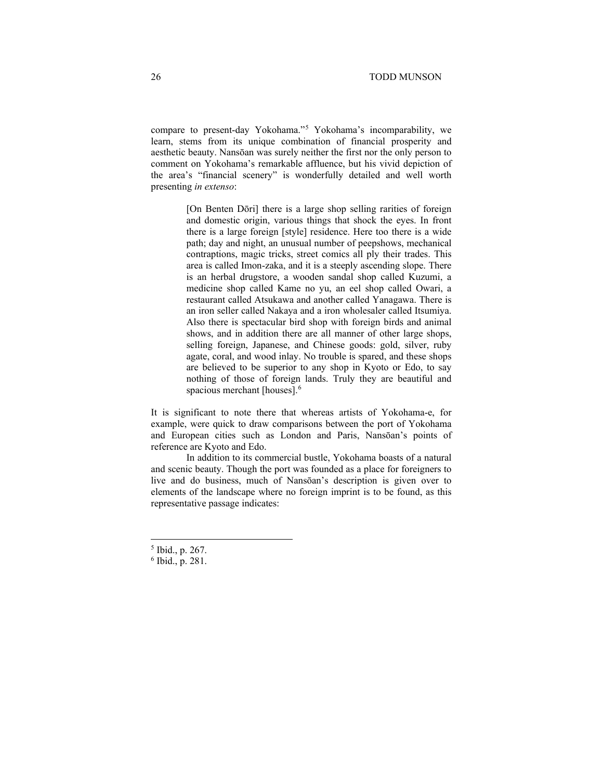compare to present-day Yokohama."[5](#page-3-0) Yokohama's incomparability, we learn, stems from its unique combination of financial prosperity and aesthetic beauty. Nansōan was surely neither the first nor the only person to comment on Yokohama's remarkable affluence, but his vivid depiction of the area's "financial scenery" is wonderfully detailed and well worth presenting *in extenso*:

> [On Benten Dōri] there is a large shop selling rarities of foreign and domestic origin, various things that shock the eyes. In front there is a large foreign [style] residence. Here too there is a wide path; day and night, an unusual number of peepshows, mechanical contraptions, magic tricks, street comics all ply their trades. This area is called Imon-zaka, and it is a steeply ascending slope. There is an herbal drugstore, a wooden sandal shop called Kuzumi, a medicine shop called Kame no yu, an eel shop called Owari, a restaurant called Atsukawa and another called Yanagawa. There is an iron seller called Nakaya and a iron wholesaler called Itsumiya. Also there is spectacular bird shop with foreign birds and animal shows, and in addition there are all manner of other large shops, selling foreign, Japanese, and Chinese goods: gold, silver, ruby agate, coral, and wood inlay. No trouble is spared, and these shops are believed to be superior to any shop in Kyoto or Edo, to say nothing of those of foreign lands. Truly they are beautiful and spacious merchant [houses]. [6](#page-3-1)

It is significant to note there that whereas artists of Yokohama-e, for example, were quick to draw comparisons between the port of Yokohama and European cities such as London and Paris, Nansōan's points of reference are Kyoto and Edo.

In addition to its commercial bustle, Yokohama boasts of a natural and scenic beauty. Though the port was founded as a place for foreigners to live and do business, much of Nansōan's description is given over to elements of the landscape where no foreign imprint is to be found, as this representative passage indicates:

<span id="page-3-0"></span><sup>5</sup> Ibid., p. 267.

<span id="page-3-1"></span><sup>6</sup> Ibid., p. 281.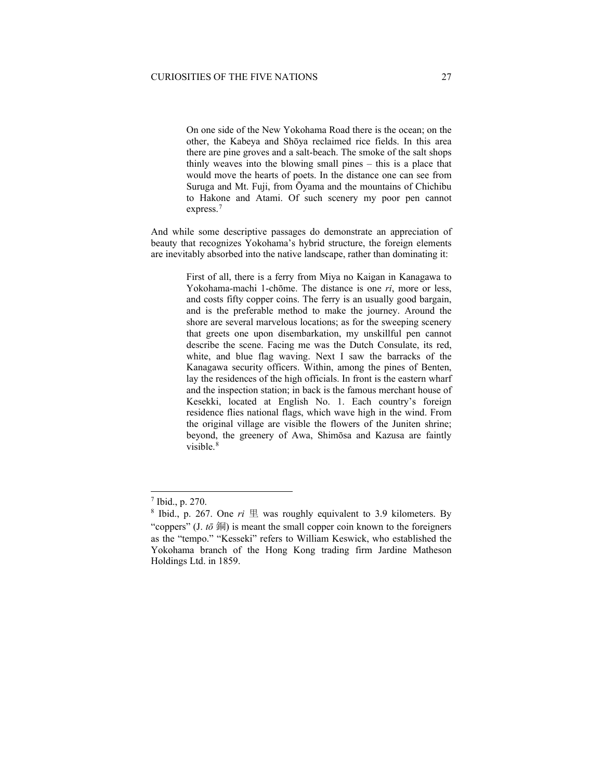On one side of the New Yokohama Road there is the ocean; on the other, the Kabeya and Shōya reclaimed rice fields. In this area there are pine groves and a salt-beach. The smoke of the salt shops thinly weaves into the blowing small pines – this is a place that would move the hearts of poets. In the distance one can see from Suruga and Mt. Fuji, from Ōyama and the mountains of Chichibu to Hakone and Atami. Of such scenery my poor pen cannot express.<sup>[7](#page-4-0)</sup>

And while some descriptive passages do demonstrate an appreciation of beauty that recognizes Yokohama's hybrid structure, the foreign elements are inevitably absorbed into the native landscape, rather than dominating it:

> First of all, there is a ferry from Miya no Kaigan in Kanagawa to Yokohama-machi 1-chōme. The distance is one *ri*, more or less, and costs fifty copper coins. The ferry is an usually good bargain, and is the preferable method to make the journey. Around the shore are several marvelous locations; as for the sweeping scenery that greets one upon disembarkation, my unskillful pen cannot describe the scene. Facing me was the Dutch Consulate, its red, white, and blue flag waving. Next I saw the barracks of the Kanagawa security officers. Within, among the pines of Benten, lay the residences of the high officials. In front is the eastern wharf and the inspection station; in back is the famous merchant house of Kesekki, located at English No. 1. Each country's foreign residence flies national flags, which wave high in the wind. From the original village are visible the flowers of the Juniten shrine; beyond, the greenery of Awa, Shimōsa and Kazusa are faintly visible.<sup>[8](#page-4-1)</sup>

<sup>7</sup> Ibid., p. 270.

<span id="page-4-1"></span><span id="page-4-0"></span> $8$  Ibid., p. 267. One  $ri \nsubseteq$  was roughly equivalent to 3.9 kilometers. By "coppers" (J.  $t\bar{\sigma}$  is meant the small copper coin known to the foreigners" as the "tempo." "Kesseki" refers to William Keswick, who established the Yokohama branch of the Hong Kong trading firm Jardine Matheson Holdings Ltd. in 1859.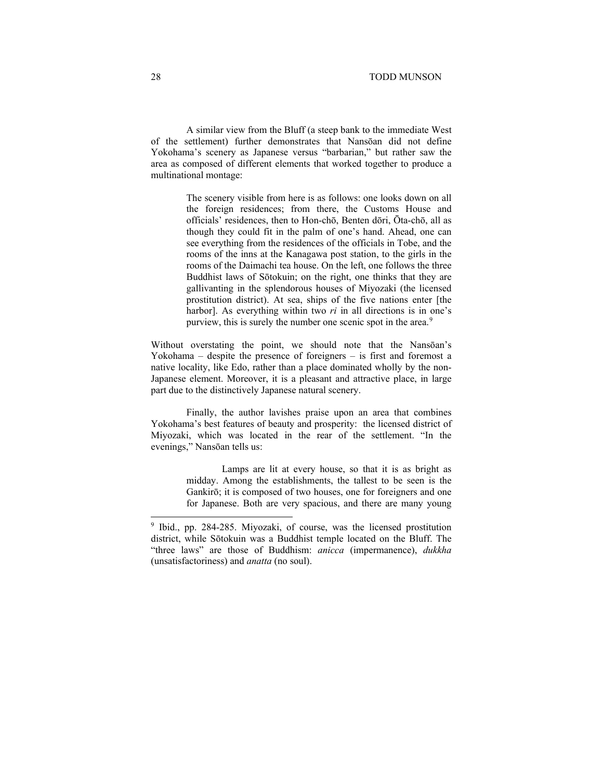A similar view from the Bluff (a steep bank to the immediate West of the settlement) further demonstrates that Nansōan did not define Yokohama's scenery as Japanese versus "barbarian," but rather saw the area as composed of different elements that worked together to produce a multinational montage:

> The scenery visible from here is as follows: one looks down on all the foreign residences; from there, the Customs House and officials' residences, then to Hon-chō, Benten dōri, Ōta-chō, all as though they could fit in the palm of one's hand. Ahead, one can see everything from the residences of the officials in Tobe, and the rooms of the inns at the Kanagawa post station, to the girls in the rooms of the Daimachi tea house. On the left, one follows the three Buddhist laws of Sōtokuin; on the right, one thinks that they are gallivanting in the splendorous houses of Miyozaki (the licensed prostitution district). At sea, ships of the five nations enter [the harbor]. As everything within two *ri* in all directions is in one's purview, this is surely the number one scenic spot in the area.<sup>[9](#page-5-0)</sup>

Without overstating the point, we should note that the Nansōan's Yokohama – despite the presence of foreigners – is first and foremost a native locality, like Edo, rather than a place dominated wholly by the non-Japanese element. Moreover, it is a pleasant and attractive place, in large part due to the distinctively Japanese natural scenery.

Finally, the author lavishes praise upon an area that combines Yokohama's best features of beauty and prosperity: the licensed district of Miyozaki, which was located in the rear of the settlement. "In the evenings," Nansōan tells us:

> Lamps are lit at every house, so that it is as bright as midday. Among the establishments, the tallest to be seen is the Gankirō; it is composed of two houses, one for foreigners and one for Japanese. Both are very spacious, and there are many young

<span id="page-5-0"></span><sup>9</sup> Ibid., pp. 284-285. Miyozaki, of course, was the licensed prostitution district, while Sōtokuin was a Buddhist temple located on the Bluff. The "three laws" are those of Buddhism: *anicca* (impermanence), *dukkha* (unsatisfactoriness) and *anatta* (no soul).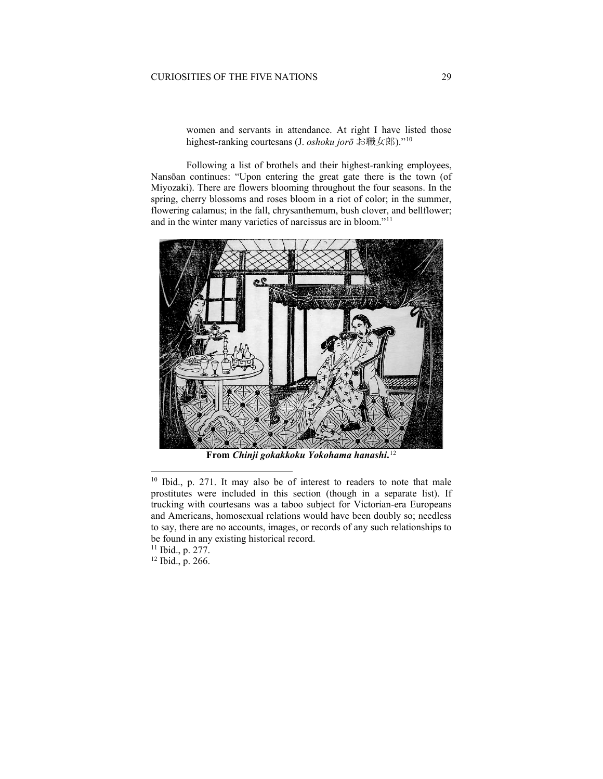women and servants in attendance. At right I have listed those highest-ranking courtesans (J. *oshoku jorō* お職女郎)."[10](#page-6-0)

Following a list of brothels and their highest-ranking employees, Nansōan continues: "Upon entering the great gate there is the town (of Miyozaki). There are flowers blooming throughout the four seasons. In the spring, cherry blossoms and roses bloom in a riot of color; in the summer, flowering calamus; in the fall, chrysanthemum, bush clover, and bellflower; and in the winter many varieties of narcissus are in bloom."[11](#page-6-1)



**From** *Chinji gokakkoku Yokohama hanashi***.** [12](#page-6-2)

<span id="page-6-2"></span><sup>12</sup> Ibid., p. 266.

<span id="page-6-0"></span><sup>10</sup> Ibid., p. 271. It may also be of interest to readers to note that male prostitutes were included in this section (though in a separate list). If trucking with courtesans was a taboo subject for Victorian-era Europeans and Americans, homosexual relations would have been doubly so; needless to say, there are no accounts, images, or records of any such relationships to be found in any existing historical record.

<span id="page-6-1"></span><sup>11</sup> Ibid., p. 277.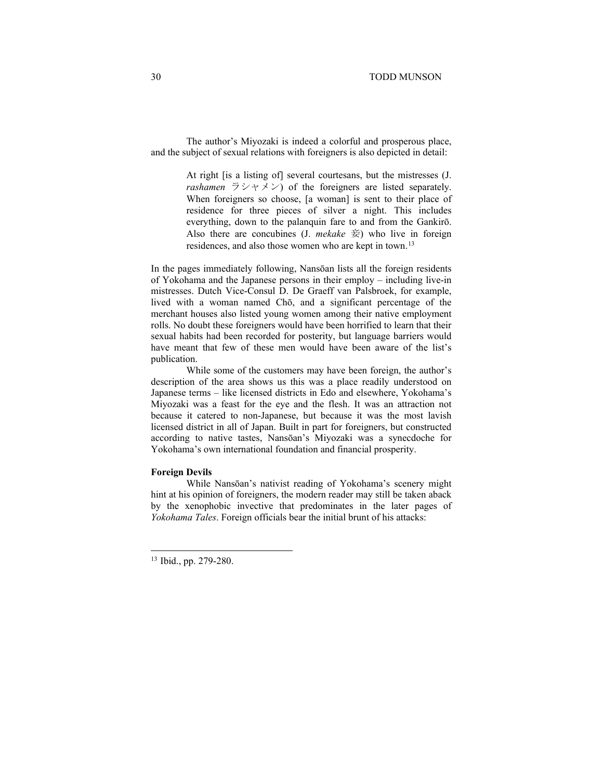The author's Miyozaki is indeed a colorful and prosperous place, and the subject of sexual relations with foreigners is also depicted in detail:

> At right [is a listing of] several courtesans, but the mistresses (J. *rashamen*  $\overline{z}$   $\vee$   $\vee$   $\vee$   $\vee$ ) of the foreigners are listed separately. When foreigners so choose, [a woman] is sent to their place of residence for three pieces of silver a night. This includes everything, down to the palanquin fare to and from the Gankirō. Also there are concubines  $(I. mekake \#)$  who live in foreign residences, and also those women who are kept in town.<sup>[13](#page-7-0)</sup>

In the pages immediately following, Nansōan lists all the foreign residents of Yokohama and the Japanese persons in their employ – including live-in mistresses. Dutch Vice-Consul D. De Graeff van Palsbroek, for example, lived with a woman named Chō, and a significant percentage of the merchant houses also listed young women among their native employment rolls. No doubt these foreigners would have been horrified to learn that their sexual habits had been recorded for posterity, but language barriers would have meant that few of these men would have been aware of the list's publication.

While some of the customers may have been foreign, the author's description of the area shows us this was a place readily understood on Japanese terms – like licensed districts in Edo and elsewhere, Yokohama's Miyozaki was a feast for the eye and the flesh. It was an attraction not because it catered to non-Japanese, but because it was the most lavish licensed district in all of Japan. Built in part for foreigners, but constructed according to native tastes, Nansōan's Miyozaki was a synecdoche for Yokohama's own international foundation and financial prosperity.

#### **Foreign Devils**

While Nansōan's nativist reading of Yokohama's scenery might hint at his opinion of foreigners, the modern reader may still be taken aback by the xenophobic invective that predominates in the later pages of *Yokohama Tales*. Foreign officials bear the initial brunt of his attacks:

<span id="page-7-0"></span><sup>13</sup> Ibid., pp. 279-280.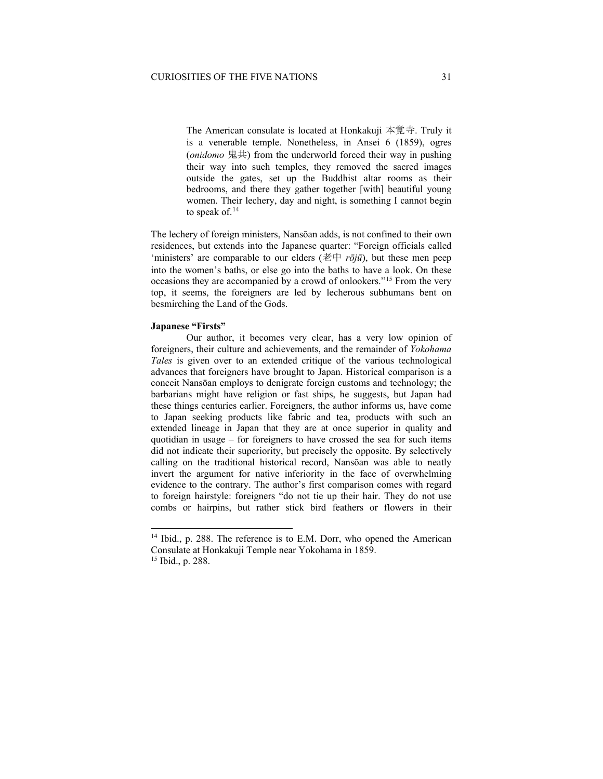The American consulate is located at Honkakuji 本覚寺. Truly it is a venerable temple. Nonetheless, in Ansei 6 (1859), ogres (*onidomo* 鬼共) from the underworld forced their way in pushing their way into such temples, they removed the sacred images outside the gates, set up the Buddhist altar rooms as their bedrooms, and there they gather together [with] beautiful young women. Their lechery, day and night, is something I cannot begin to speak of.<sup>[14](#page-8-0)</sup>

The lechery of foreign ministers, Nansōan adds, is not confined to their own residences, but extends into the Japanese quarter: "Foreign officials called 'ministers' are comparable to our elders ( $\sharp \psi$  *rōjū*), but these men peep into the women's baths, or else go into the baths to have a look. On these occasions they are accompanied by a crowd of onlookers."[15](#page-8-1) From the very top, it seems, the foreigners are led by lecherous subhumans bent on besmirching the Land of the Gods.

### **Japanese "Firsts"**

Our author, it becomes very clear, has a very low opinion of foreigners, their culture and achievements, and the remainder of *Yokohama Tales* is given over to an extended critique of the various technological advances that foreigners have brought to Japan. Historical comparison is a conceit Nansōan employs to denigrate foreign customs and technology; the barbarians might have religion or fast ships, he suggests, but Japan had these things centuries earlier. Foreigners, the author informs us, have come to Japan seeking products like fabric and tea, products with such an extended lineage in Japan that they are at once superior in quality and quotidian in usage – for foreigners to have crossed the sea for such items did not indicate their superiority, but precisely the opposite. By selectively calling on the traditional historical record, Nansōan was able to neatly invert the argument for native inferiority in the face of overwhelming evidence to the contrary. The author's first comparison comes with regard to foreign hairstyle: foreigners "do not tie up their hair. They do not use combs or hairpins, but rather stick bird feathers or flowers in their

<span id="page-8-0"></span><sup>&</sup>lt;sup>14</sup> Ibid., p. 288. The reference is to E.M. Dorr, who opened the American Consulate at Honkakuji Temple near Yokohama in 1859.

<span id="page-8-1"></span><sup>15</sup> Ibid., p. 288.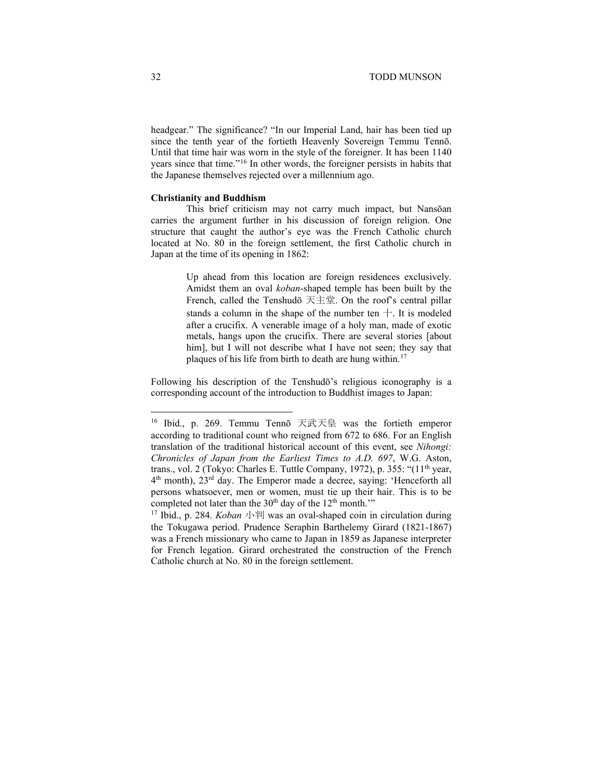headgear." The significance? "In our Imperial Land, hair has been tied up since the tenth year of the fortieth Heavenly Sovereign Temmu Tennō. Until that time hair was worn in the style of the foreigner. It has been 1140 years since that time."[16](#page-9-0) In other words, the foreigner persists in habits that the Japanese themselves rejected over a millennium ago.

#### **Christianity and Buddhism**

This brief criticism may not carry much impact, but Nansōan carries the argument further in his discussion of foreign religion. One structure that caught the author's eye was the French Catholic church located at No. 80 in the foreign settlement, the first Catholic church in Japan at the time of its opening in 1862:

> Up ahead from this location are foreign residences exclusively. Amidst them an oval *koban*-shaped temple has been built by the French, called the Tenshudō 天主堂. On the roof's central pillar stands a column in the shape of the number ten  $+$ . It is modeled after a crucifix. A venerable image of a holy man, made of exotic metals, hangs upon the crucifix. There are several stories [about him], but I will not describe what I have not seen; they say that plaques of his life from birth to death are hung within.[17](#page-9-1)

Following his description of the Tenshudō's religious iconography is a corresponding account of the introduction to Buddhist images to Japan:

<span id="page-9-0"></span><sup>16</sup> Ibid., p. 269. Temmu Tennō 天武天皇 was the fortieth emperor according to traditional count who reigned from 672 to 686. For an English translation of the traditional historical account of this event, see *Nihongi: Chronicles of Japan from the Earliest Times to A.D. 697*, W.G. Aston, trans., vol. 2 (Tokyo: Charles E. Tuttle Company, 1972), p. 355: "(11<sup>th</sup> year, 4th month), 23rd day. The Emperor made a decree, saying: 'Henceforth all persons whatsoever, men or women, must tie up their hair. This is to be completed not later than the  $30<sup>th</sup>$  day of the  $12<sup>th</sup>$  month.'"

<span id="page-9-1"></span><sup>17</sup> Ibid., p. 284. *Koban* 小判 was an oval-shaped coin in circulation during the Tokugawa period. Prudence Seraphin Barthelemy Girard (1821-1867) was a French missionary who came to Japan in 1859 as Japanese interpreter for French legation. Girard orchestrated the construction of the French Catholic church at No. 80 in the foreign settlement.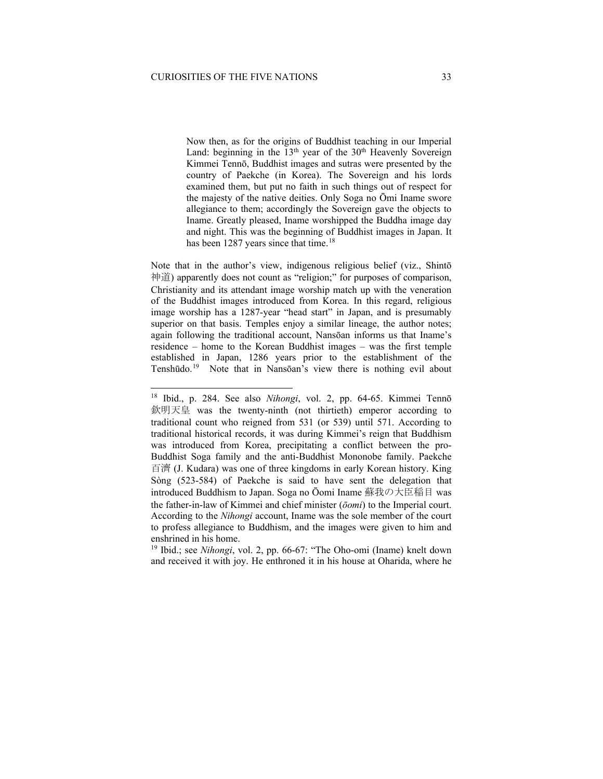Now then, as for the origins of Buddhist teaching in our Imperial Land: beginning in the  $13<sup>th</sup>$  year of the  $30<sup>th</sup>$  Heavenly Sovereign Kimmei Tennō, Buddhist images and sutras were presented by the country of Paekche (in Korea). The Sovereign and his lords examined them, but put no faith in such things out of respect for the majesty of the native deities. Only Soga no Ōmi Iname swore allegiance to them; accordingly the Sovereign gave the objects to Iname. Greatly pleased, Iname worshipped the Buddha image day and night. This was the beginning of Buddhist images in Japan. It has been 1287 years since that time.<sup>[18](#page-10-0)</sup>

Note that in the author's view, indigenous religious belief (viz., Shintō 神道) apparently does not count as "religion;" for purposes of comparison, Christianity and its attendant image worship match up with the veneration of the Buddhist images introduced from Korea. In this regard, religious image worship has a 1287-year "head start" in Japan, and is presumably superior on that basis. Temples enjoy a similar lineage, the author notes; again following the traditional account, Nansōan informs us that Iname's residence – home to the Korean Buddhist images – was the first temple established in Japan, 1286 years prior to the establishment of the Tenshūdo.[19](#page-10-1) Note that in Nansōan's view there is nothing evil about

<span id="page-10-1"></span><sup>19</sup> Ibid.; see *Nihongi*, vol. 2, pp. 66-67: "The Oho-omi (Iname) knelt down and received it with joy. He enthroned it in his house at Oharida, where he

<span id="page-10-0"></span><sup>18</sup> Ibid., p. 284. See also *Nihongi*, vol. 2, pp. 64-65. Kimmei Tennō 欽明天皇 was the twenty-ninth (not thirtieth) emperor according to traditional count who reigned from 531 (or 539) until 571. According to traditional historical records, it was during Kimmei's reign that Buddhism was introduced from Korea, precipitating a conflict between the pro-Buddhist Soga family and the anti-Buddhist Mononobe family. Paekche 百濟 (J. Kudara) was one of three kingdoms in early Korean history. King Sòng (523-584) of Paekche is said to have sent the delegation that introduced Buddhism to Japan. Soga no Ōomi Iname 蘇我の大臣稲目 was the father-in-law of Kimmei and chief minister (*ōomi*) to the Imperial court. According to the *Nihongi* account, Iname was the sole member of the court to profess allegiance to Buddhism, and the images were given to him and enshrined in his home.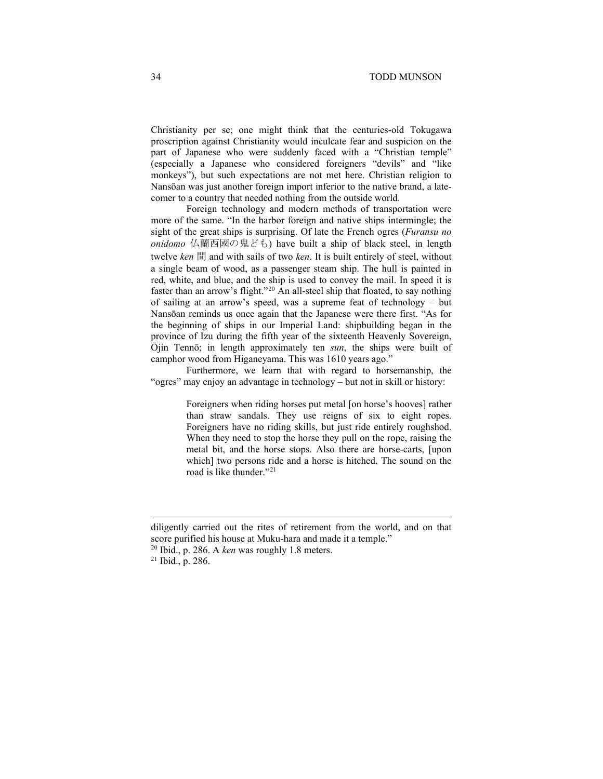Christianity per se; one might think that the centuries-old Tokugawa proscription against Christianity would inculcate fear and suspicion on the part of Japanese who were suddenly faced with a "Christian temple" (especially a Japanese who considered foreigners "devils" and "like monkeys"), but such expectations are not met here. Christian religion to Nansōan was just another foreign import inferior to the native brand, a latecomer to a country that needed nothing from the outside world.

Foreign technology and modern methods of transportation were more of the same. "In the harbor foreign and native ships intermingle; the sight of the great ships is surprising. Of late the French ogres (*Furansu no onidomo* 仏蘭西國の鬼ども) have built a ship of black steel, in length twelve *ken* 間 and with sails of two *ken*. It is built entirely of steel, without a single beam of wood, as a passenger steam ship. The hull is painted in red, white, and blue, and the ship is used to convey the mail. In speed it is faster than an arrow's flight."<sup>[20](#page-11-0)</sup> An all-steel ship that floated, to say nothing of sailing at an arrow's speed, was a supreme feat of technology – but Nansōan reminds us once again that the Japanese were there first. "As for the beginning of ships in our Imperial Land: shipbuilding began in the province of Izu during the fifth year of the sixteenth Heavenly Sovereign, Ōjin Tennō; in length approximately ten *sun*, the ships were built of camphor wood from Higaneyama. This was 1610 years ago."

Furthermore, we learn that with regard to horsemanship, the "ogres" may enjoy an advantage in technology – but not in skill or history:

> Foreigners when riding horses put metal [on horse's hooves] rather than straw sandals. They use reigns of six to eight ropes. Foreigners have no riding skills, but just ride entirely roughshod. When they need to stop the horse they pull on the rope, raising the metal bit, and the horse stops. Also there are horse-carts, [upon which] two persons ride and a horse is hitched. The sound on the road is like thunder."<sup>[21](#page-11-1)</sup>

diligently carried out the rites of retirement from the world, and on that score purified his house at Muku-hara and made it a temple."

<span id="page-11-0"></span><sup>20</sup> Ibid., p. 286. A *ken* was roughly 1.8 meters.

<span id="page-11-1"></span><sup>21</sup> Ibid., p. 286.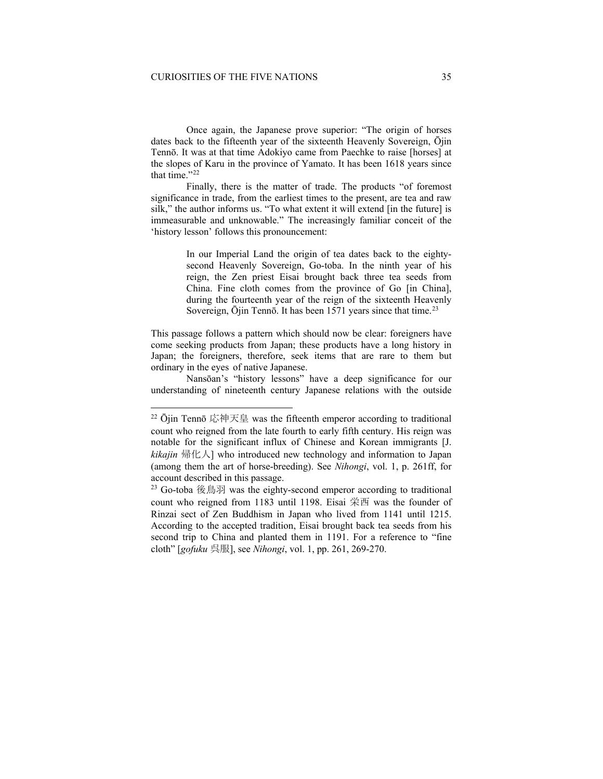Once again, the Japanese prove superior: "The origin of horses dates back to the fifteenth year of the sixteenth Heavenly Sovereign, Ōjin Tennō. It was at that time Adokiyo came from Paechke to raise [horses] at the slopes of Karu in the province of Yamato. It has been 1618 years since that time."<sup>[22](#page-12-0)</sup>

Finally, there is the matter of trade. The products "of foremost significance in trade, from the earliest times to the present, are tea and raw silk," the author informs us. "To what extent it will extend [in the future] is immeasurable and unknowable." The increasingly familiar conceit of the 'history lesson' follows this pronouncement:

> In our Imperial Land the origin of tea dates back to the eightysecond Heavenly Sovereign, Go-toba. In the ninth year of his reign, the Zen priest Eisai brought back three tea seeds from China. Fine cloth comes from the province of Go [in China], during the fourteenth year of the reign of the sixteenth Heavenly Sovereign,  $\bar{O}$ iin Tenn $\bar{o}$ . It has been 1571 years since that time.<sup>[23](#page-12-1)</sup>

This passage follows a pattern which should now be clear: foreigners have come seeking products from Japan; these products have a long history in Japan; the foreigners, therefore, seek items that are rare to them but ordinary in the eyes of native Japanese.

Nansōan's "history lessons" have a deep significance for our understanding of nineteenth century Japanese relations with the outside

<span id="page-12-0"></span> $22$   $\overline{\text{O}}$ iin Tennō 応神天皇 was the fifteenth emperor according to traditional count who reigned from the late fourth to early fifth century. His reign was notable for the significant influx of Chinese and Korean immigrants [J. *kikajin* 帰化人] who introduced new technology and information to Japan (among them the art of horse-breeding). See *Nihongi*, vol. 1, p. 261ff, for account described in this passage.

<span id="page-12-1"></span><sup>23</sup> Go-toba 後鳥羽 was the eighty-second emperor according to traditional count who reigned from 1183 until 1198. Eisai 栄西 was the founder of Rinzai sect of Zen Buddhism in Japan who lived from 1141 until 1215. According to the accepted tradition, Eisai brought back tea seeds from his second trip to China and planted them in 1191. For a reference to "fine cloth" [*gofuku* 呉服], see *Nihongi*, vol. 1, pp. 261, 269-270.